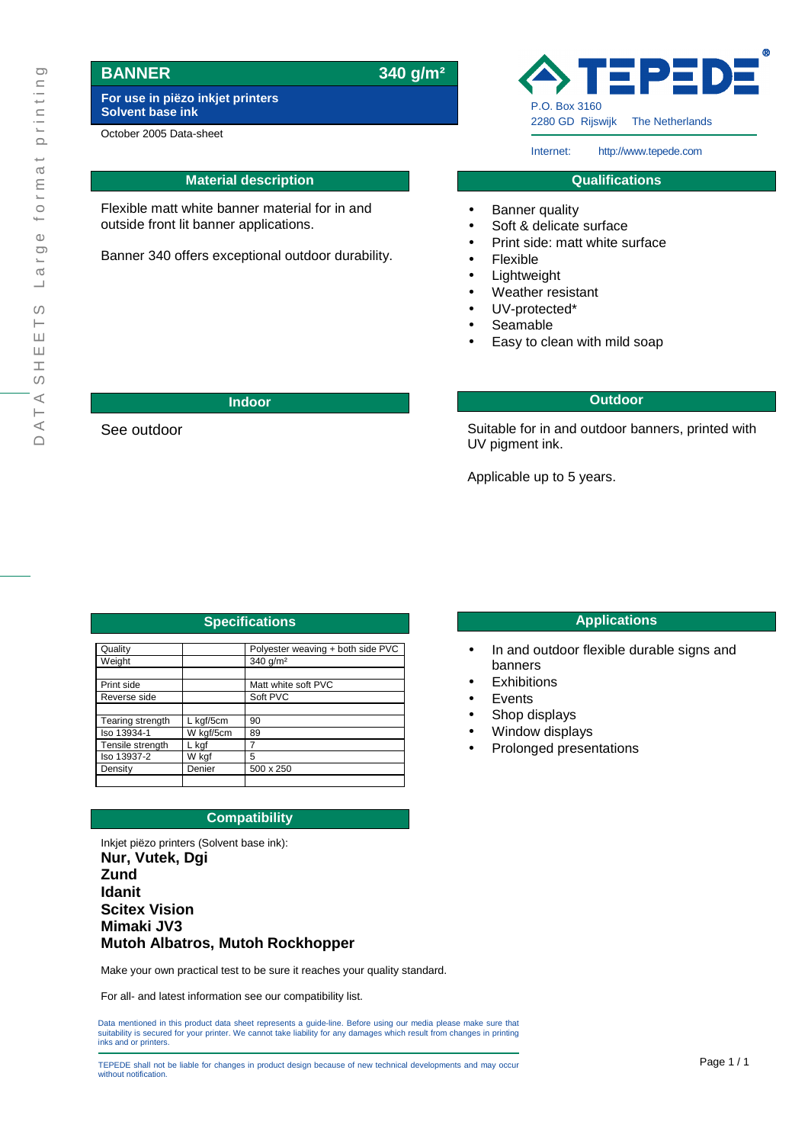# **BANNER 340 g/m²**

See outdoor

**For use in piëzo inkjet printers Solvent base ink**

October 2005 Data-sheet

## **Material description**

Flexible matt white banner material for in and outside front lit banner applications.

Banner 340 offers exceptional outdoor durability.

EP: P.O. Box 3160 2280 GD Rijswijk The Netherlands

Internet: http://www.tepede.com

#### **Qualifications**

- Banner quality
- Soft & delicate surface
- Print side: matt white surface
- **Flexible**
- Lightweight
- Weather resistant
- UV-protected\*
- Seamable
- Easy to clean with mild soap

#### **Indoor Outdoor**

Suitable for in and outdoor banners, printed with UV pigment ink.

Applicable up to 5 years.

| <b>Specifications</b> |           |                                   |
|-----------------------|-----------|-----------------------------------|
|                       |           |                                   |
| Quality               |           | Polyester weaving + both side PVC |
| Weight                |           | 340 g/m <sup>2</sup>              |
|                       |           |                                   |
| Print side            |           | Matt white soft PVC               |
| Reverse side          |           | Soft PVC                          |
|                       |           |                                   |
| Tearing strength      | L kgf/5cm | 90                                |
| Iso 13934-1           | W kgf/5cm | 89                                |
| Tensile strength      | L kgf     | 7                                 |
| Iso 13937-2           | W kgf     | 5                                 |
| Density               | Denier    | 500 x 250                         |
|                       |           |                                   |

### **Compatibility**

Inkjet piëzo printers (Solvent base ink): **Nur, Vutek, Dgi Zund Idanit Scitex Vision Mimaki JV3 Mutoh Albatros, Mutoh Rockhopper**

Make your own practical test to be sure it reaches your quality standard.

For all- and latest information see our compatibility list.

Data mentioned in this product data sheet represents a guide-line. Before using our media please make sure that suitability is secured for your printer. We cannot take liability for any damages which result from changes in printing inks and or printers.

TEPEDE shall not be liable for changes in product design because of new technical developments and may occur **Page 1/1** without notification.

#### **Specifications Applications**

- In and outdoor flexible durable signs and banners
- **Exhibitions**
- **Events**
- Shop displays
- Window displays
- Prolonged presentations